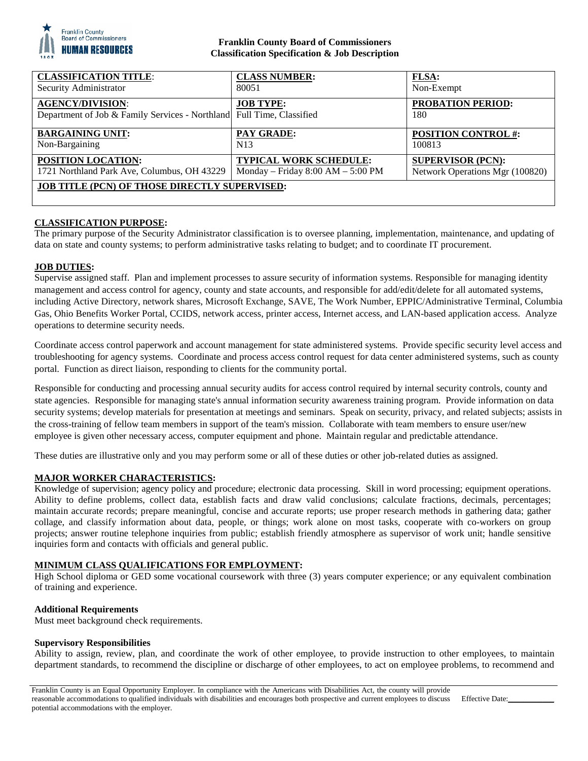

### **Franklin County Board of Commissioners Classification Specification & Job Description**

| <b>CLASSIFICATION TITLE:</b>                                                                     | <b>CLASS NUMBER:</b>                | <b>FLSA:</b>                    |
|--------------------------------------------------------------------------------------------------|-------------------------------------|---------------------------------|
| Security Administrator                                                                           | 80051                               | Non-Exempt                      |
| <b>AGENCY/DIVISION:</b><br>Department of Job & Family Services - Northland Full Time, Classified | <b>JOB TYPE:</b>                    | <b>PROBATION PERIOD:</b><br>180 |
| <b>BARGAINING UNIT:</b>                                                                          | PAY GRADE:                          | <b>POSITION CONTROL #:</b>      |
| Non-Bargaining                                                                                   | N13                                 | 100813                          |
| POSITION LOCATION:                                                                               | <b>TYPICAL WORK SCHEDULE:</b>       | <b>SUPERVISOR (PCN):</b>        |
| 1721 Northland Park Ave, Columbus, OH 43229                                                      | Monday – Friday $8:00 AM - 5:00 PM$ | Network Operations Mgr (100820) |
| <b>JOB TITLE (PCN) OF THOSE DIRECTLY SUPERVISED:</b>                                             |                                     |                                 |

# **CLASSIFICATION PURPOSE:**

The primary purpose of the Security Administrator classification is to oversee planning, implementation, maintenance, and updating of data on state and county systems; to perform administrative tasks relating to budget; and to coordinate IT procurement.

#### **JOB DUTIES:**

Supervise assigned staff. Plan and implement processes to assure security of information systems. Responsible for managing identity management and access control for agency, county and state accounts, and responsible for add/edit/delete for all automated systems, including Active Directory, network shares, Microsoft Exchange, SAVE, The Work Number, EPPIC/Administrative Terminal, Columbia Gas, Ohio Benefits Worker Portal, CCIDS, network access, printer access, Internet access, and LAN-based application access. Analyze operations to determine security needs.

Coordinate access control paperwork and account management for state administered systems. Provide specific security level access and troubleshooting for agency systems. Coordinate and process access control request for data center administered systems, such as county portal. Function as direct liaison, responding to clients for the community portal.

Responsible for conducting and processing annual security audits for access control required by internal security controls, county and state agencies. Responsible for managing state's annual information security awareness training program. Provide information on data security systems; develop materials for presentation at meetings and seminars. Speak on security, privacy, and related subjects; assists in the cross-training of fellow team members in support of the team's mission. Collaborate with team members to ensure user/new employee is given other necessary access, computer equipment and phone. Maintain regular and predictable attendance.

These duties are illustrative only and you may perform some or all of these duties or other job-related duties as assigned.

### **MAJOR WORKER CHARACTERISTICS:**

Knowledge of supervision; agency policy and procedure; electronic data processing. Skill in word processing; equipment operations. Ability to define problems, collect data, establish facts and draw valid conclusions; calculate fractions, decimals, percentages; maintain accurate records; prepare meaningful, concise and accurate reports; use proper research methods in gathering data; gather collage, and classify information about data, people, or things; work alone on most tasks, cooperate with co-workers on group projects; answer routine telephone inquiries from public; establish friendly atmosphere as supervisor of work unit; handle sensitive inquiries form and contacts with officials and general public.

### **MINIMUM CLASS QUALIFICATIONS FOR EMPLOYMENT:**

High School diploma or GED some vocational coursework with three (3) years computer experience; or any equivalent combination of training and experience.

#### **Additional Requirements**

Must meet background check requirements.

#### **Supervisory Responsibilities**

Ability to assign, review, plan, and coordinate the work of other employee, to provide instruction to other employees, to maintain department standards, to recommend the discipline or discharge of other employees, to act on employee problems, to recommend and